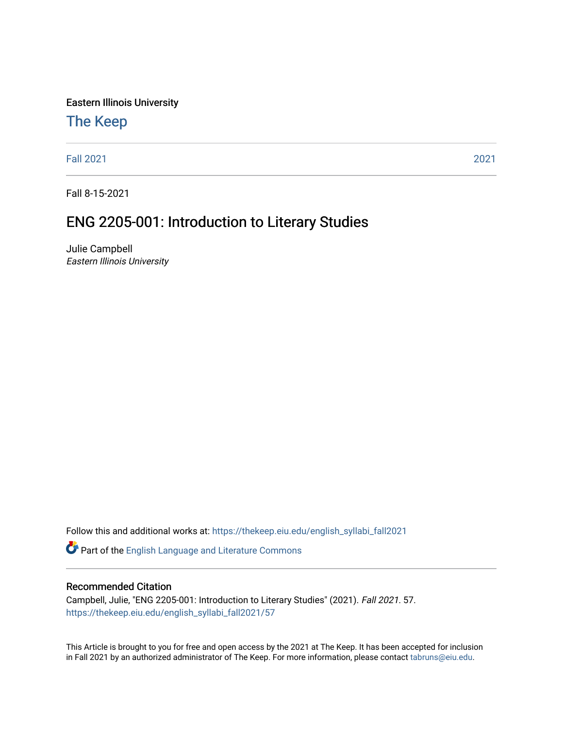Eastern Illinois University

## [The Keep](https://thekeep.eiu.edu/)

[Fall 2021](https://thekeep.eiu.edu/english_syllabi_fall2021) [2021](https://thekeep.eiu.edu/english_syllabi2021) 

Fall 8-15-2021

# ENG 2205-001: Introduction to Literary Studies

Julie Campbell Eastern Illinois University

Follow this and additional works at: [https://thekeep.eiu.edu/english\\_syllabi\\_fall2021](https://thekeep.eiu.edu/english_syllabi_fall2021?utm_source=thekeep.eiu.edu%2Fenglish_syllabi_fall2021%2F57&utm_medium=PDF&utm_campaign=PDFCoverPages) 

Part of the [English Language and Literature Commons](http://network.bepress.com/hgg/discipline/455?utm_source=thekeep.eiu.edu%2Fenglish_syllabi_fall2021%2F57&utm_medium=PDF&utm_campaign=PDFCoverPages)

#### Recommended Citation

Campbell, Julie, "ENG 2205-001: Introduction to Literary Studies" (2021). Fall 2021. 57. [https://thekeep.eiu.edu/english\\_syllabi\\_fall2021/57](https://thekeep.eiu.edu/english_syllabi_fall2021/57?utm_source=thekeep.eiu.edu%2Fenglish_syllabi_fall2021%2F57&utm_medium=PDF&utm_campaign=PDFCoverPages)

This Article is brought to you for free and open access by the 2021 at The Keep. It has been accepted for inclusion in Fall 2021 by an authorized administrator of The Keep. For more information, please contact [tabruns@eiu.edu](mailto:tabruns@eiu.edu).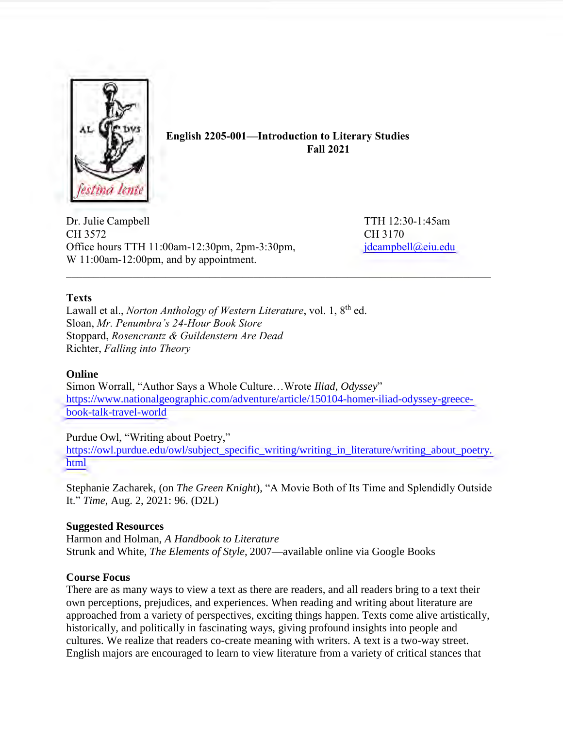

**English 2205-001—Introduction to Literary Studies Fall 2021**

Dr. Julie Campbell TTH 12:30-1:45am CH 3572 CH 3170 Office hours TTH 11:00am-12:30pm, 2pm-3:30pm,  $\frac{1}{30}$  [jdcampbell@eiu.edu](mailto:jdcampbell@eiu.edu) W 11:00am-12:00pm, and by appointment.

#### **Texts**

Lawall et al., *Norton Anthology of Western Literature*, vol. 1, 8<sup>th</sup> ed. Sloan, *Mr. Penumbra's 24-Hour Book Store*  Stoppard, *Rosencrantz & Guildenstern Are Dead*  Richter, *Falling into Theory*

#### **Online**

Simon Worrall, "Author Says a Whole Culture…Wrote *Iliad*, *Odyssey*" [https://www.nationalgeographic.com/adventure/article/150104-homer-iliad-odyssey-greece](https://www.nationalgeographic.com/adventure/article/150104-homer-iliad-odyssey-greece-book-talk-travel-world)[book-talk-travel-world](https://www.nationalgeographic.com/adventure/article/150104-homer-iliad-odyssey-greece-book-talk-travel-world)

Purdue Owl, "Writing about Poetry,"

[https://owl.purdue.edu/owl/subject\\_specific\\_writing/writing\\_in\\_literature/writing\\_about\\_poetry.](https://owl.purdue.edu/owl/subject_specific_writing/writing_in_literature/writing_about_poetry.html) [html](https://owl.purdue.edu/owl/subject_specific_writing/writing_in_literature/writing_about_poetry.html)

Stephanie Zacharek, (on *The Green Knight*), "A Movie Both of Its Time and Splendidly Outside It." *Time*, Aug. 2, 2021: 96. (D2L)

#### **Suggested Resources**

Harmon and Holman, *A Handbook to Literature* Strunk and White, *The Elements of Style*, 2007—available online via Google Books

#### **Course Focus**

There are as many ways to view a text as there are readers, and all readers bring to a text their own perceptions, prejudices, and experiences. When reading and writing about literature are approached from a variety of perspectives, exciting things happen. Texts come alive artistically, historically, and politically in fascinating ways, giving profound insights into people and cultures. We realize that readers co-create meaning with writers. A text is a two-way street. English majors are encouraged to learn to view literature from a variety of critical stances that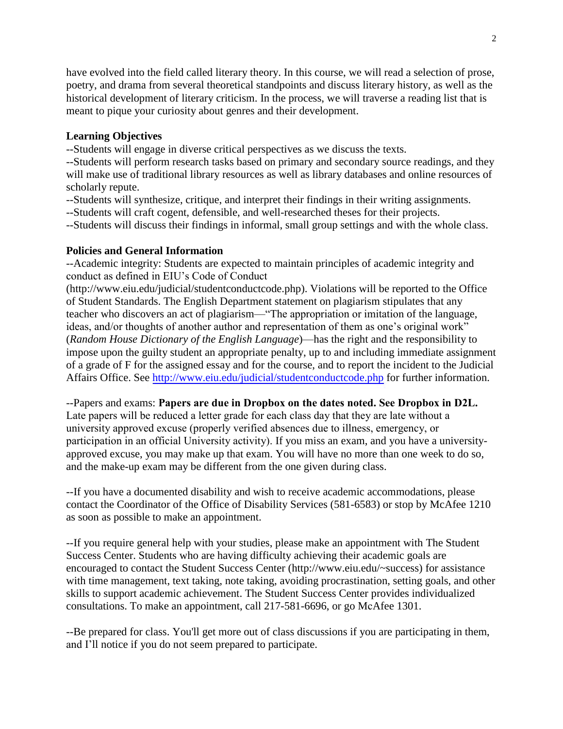have evolved into the field called literary theory. In this course, we will read a selection of prose, poetry, and drama from several theoretical standpoints and discuss literary history, as well as the historical development of literary criticism. In the process, we will traverse a reading list that is meant to pique your curiosity about genres and their development.

#### **Learning Objectives**

--Students will engage in diverse critical perspectives as we discuss the texts.

--Students will perform research tasks based on primary and secondary source readings, and they will make use of traditional library resources as well as library databases and online resources of scholarly repute.

- --Students will synthesize, critique, and interpret their findings in their writing assignments.
- --Students will craft cogent, defensible, and well-researched theses for their projects.

--Students will discuss their findings in informal, small group settings and with the whole class.

## **Policies and General Information**

--Academic integrity: Students are expected to maintain principles of academic integrity and conduct as defined in EIU's Code of Conduct

(http://www.eiu.edu/judicial/studentconductcode.php). Violations will be reported to the Office of Student Standards. The English Department statement on plagiarism stipulates that any teacher who discovers an act of plagiarism—"The appropriation or imitation of the language, ideas, and/or thoughts of another author and representation of them as one's original work" (*Random House Dictionary of the English Language*)—has the right and the responsibility to impose upon the guilty student an appropriate penalty, up to and including immediate assignment of a grade of F for the assigned essay and for the course, and to report the incident to the Judicial Affairs Office. See <http://www.eiu.edu/judicial/studentconductcode.php> for further information.

--Papers and exams: **Papers are due in Dropbox on the dates noted. See Dropbox in D2L.** Late papers will be reduced a letter grade for each class day that they are late without a university approved excuse (properly verified absences due to illness, emergency, or participation in an official University activity). If you miss an exam, and you have a universityapproved excuse, you may make up that exam. You will have no more than one week to do so, and the make-up exam may be different from the one given during class.

--If you have a documented disability and wish to receive academic accommodations, please contact the Coordinator of the Office of Disability Services (581-6583) or stop by McAfee 1210 as soon as possible to make an appointment.

--If you require general help with your studies, please make an appointment with The Student Success Center. Students who are having difficulty achieving their academic goals are encouraged to contact the Student Success Center (http://www.eiu.edu/~success) for assistance with time management, text taking, note taking, avoiding procrastination, setting goals, and other skills to support academic achievement. The Student Success Center provides individualized consultations. To make an appointment, call 217-581-6696, or go McAfee 1301.

--Be prepared for class. You'll get more out of class discussions if you are participating in them, and I'll notice if you do not seem prepared to participate.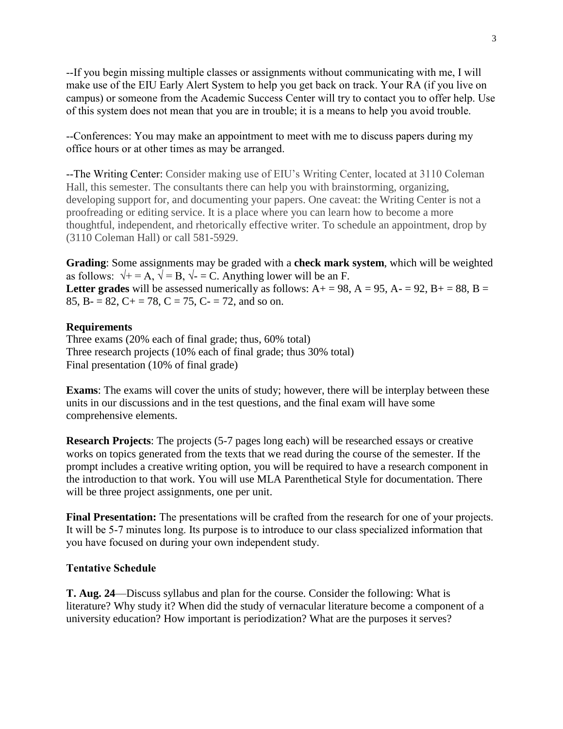--If you begin missing multiple classes or assignments without communicating with me, I will make use of the EIU Early Alert System to help you get back on track. Your RA (if you live on campus) or someone from the Academic Success Center will try to contact you to offer help. Use of this system does not mean that you are in trouble; it is a means to help you avoid trouble.

--Conferences: You may make an appointment to meet with me to discuss papers during my office hours or at other times as may be arranged.

--The Writing Center: Consider making use of EIU's Writing Center, located at 3110 Coleman Hall, this semester. The consultants there can help you with brainstorming, organizing, developing support for, and documenting your papers. One caveat: the Writing Center is not a proofreading or editing service. It is a place where you can learn how to become a more thoughtful, independent, and rhetorically effective writer. To schedule an appointment, drop by (3110 Coleman Hall) or call 581-5929.

**Grading**: Some assignments may be graded with a **check mark system**, which will be weighted as follows:  $\sqrt{+} = A$ ,  $\sqrt{ } = B$ ,  $\sqrt{ } = C$ . Anything lower will be an F. Letter grades will be assessed numerically as follows:  $A+ = 98$ ,  $A = 95$ ,  $A- = 92$ ,  $B+ = 88$ ,  $B =$ 85, B- = 82, C+ = 78, C = 75, C- = 72, and so on.

#### **Requirements**

Three exams (20% each of final grade; thus, 60% total) Three research projects (10% each of final grade; thus 30% total) Final presentation (10% of final grade)

**Exams**: The exams will cover the units of study; however, there will be interplay between these units in our discussions and in the test questions, and the final exam will have some comprehensive elements.

**Research Projects**: The projects (5-7 pages long each) will be researched essays or creative works on topics generated from the texts that we read during the course of the semester. If the prompt includes a creative writing option, you will be required to have a research component in the introduction to that work. You will use MLA Parenthetical Style for documentation. There will be three project assignments, one per unit.

**Final Presentation:** The presentations will be crafted from the research for one of your projects. It will be 5-7 minutes long. Its purpose is to introduce to our class specialized information that you have focused on during your own independent study.

#### **Tentative Schedule**

**T. Aug. 24**—Discuss syllabus and plan for the course. Consider the following: What is literature? Why study it? When did the study of vernacular literature become a component of a university education? How important is periodization? What are the purposes it serves?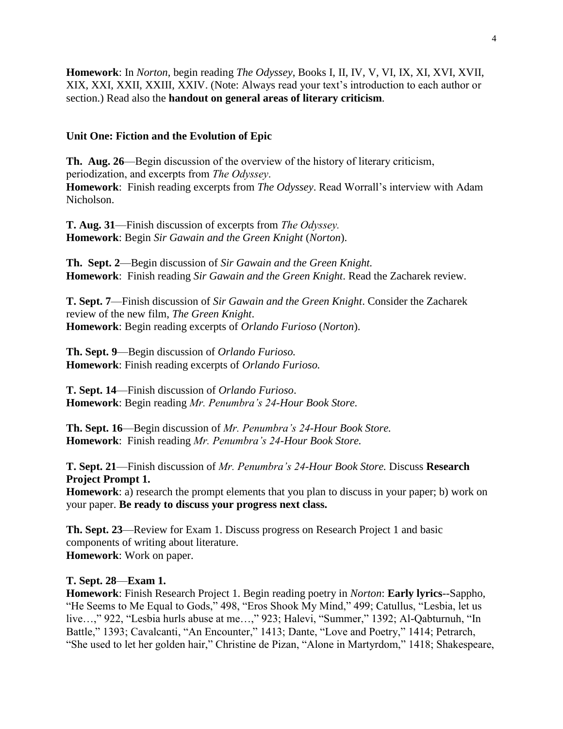**Homework**: In *Norton*, begin reading *The Odyssey*, Books I, II, IV, V, VI, IX, XI, XVI, XVII, XIX, XXI, XXII, XXIII, XXIV. (Note: Always read your text's introduction to each author or section.) Read also the **handout on general areas of literary criticism**.

#### **Unit One: Fiction and the Evolution of Epic**

**Th. Aug. 26**—Begin discussion of the overview of the history of literary criticism, periodization, and excerpts from *The Odyssey*. **Homework**: Finish reading excerpts from *The Odyssey*. Read Worrall's interview with Adam Nicholson.

**T. Aug. 31**—Finish discussion of excerpts from *The Odyssey.* **Homework**: Begin *Sir Gawain and the Green Knight* (*Norton*).

**Th. Sept. 2**—Begin discussion of *Sir Gawain and the Green Knight.* **Homework**: Finish reading *Sir Gawain and the Green Knight*. Read the Zacharek review.

**T. Sept. 7**—Finish discussion of *Sir Gawain and the Green Knight*. Consider the Zacharek review of the new film, *The Green Knight*. **Homework**: Begin reading excerpts of *Orlando Furioso* (*Norton*).

**Th. Sept. 9**—Begin discussion of *Orlando Furioso.* **Homework**: Finish reading excerpts of *Orlando Furioso.*

**T. Sept. 14**—Finish discussion of *Orlando Furioso*. **Homework**: Begin reading *Mr. Penumbra's 24-Hour Book Store.*

**Th. Sept. 16**—Begin discussion of *Mr. Penumbra's 24-Hour Book Store.*  **Homework**: Finish reading *Mr. Penumbra's 24-Hour Book Store.*

**T. Sept. 21**—Finish discussion of *Mr. Penumbra's 24-Hour Book Store.* Discuss **Research Project Prompt 1.** 

**Homework**: a) research the prompt elements that you plan to discuss in your paper; b) work on your paper. **Be ready to discuss your progress next class.**

**Th. Sept. 23**—Review for Exam 1. Discuss progress on Research Project 1 and basic components of writing about literature. **Homework**: Work on paper.

#### **T. Sept. 28**—**Exam 1.**

**Homework**: Finish Research Project 1. Begin reading poetry in *Norton*: **Early lyrics**--Sappho, "He Seems to Me Equal to Gods," 498, "Eros Shook My Mind," 499; Catullus, "Lesbia, let us live…," 922, "Lesbia hurls abuse at me…," 923; Halevi, "Summer," 1392; Al-Qabturnuh, "In Battle," 1393; Cavalcanti, "An Encounter," 1413; Dante, "Love and Poetry," 1414; Petrarch, "She used to let her golden hair," Christine de Pizan, "Alone in Martyrdom," 1418; Shakespeare,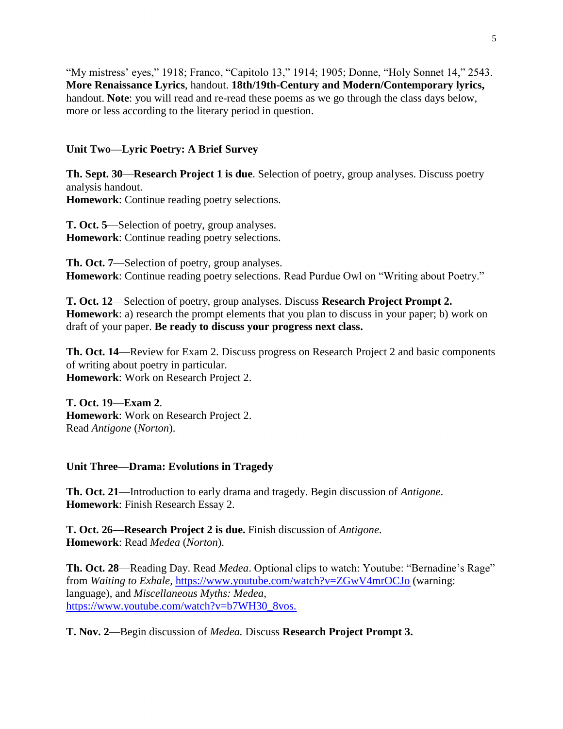"My mistress' eyes," 1918; Franco, "Capitolo 13," 1914; 1905; Donne, "Holy Sonnet 14," 2543. **More Renaissance Lyrics**, handout. **18th/19th-Century and Modern/Contemporary lyrics,** handout. **Note**: you will read and re-read these poems as we go through the class days below, more or less according to the literary period in question.

## **Unit Two—Lyric Poetry: A Brief Survey**

**Th. Sept. 30**—**Research Project 1 is due**. Selection of poetry, group analyses. Discuss poetry analysis handout.

**Homework**: Continue reading poetry selections.

**T. Oct. 5**—Selection of poetry, group analyses. **Homework**: Continue reading poetry selections.

**Th. Oct. 7**—Selection of poetry, group analyses. **Homework**: Continue reading poetry selections. Read Purdue Owl on "Writing about Poetry."

**T. Oct. 12**—Selection of poetry, group analyses. Discuss **Research Project Prompt 2. Homework**: a) research the prompt elements that you plan to discuss in your paper; b) work on draft of your paper. **Be ready to discuss your progress next class.**

**Th. Oct. 14**—Review for Exam 2. Discuss progress on Research Project 2 and basic components of writing about poetry in particular. **Homework**: Work on Research Project 2.

**T. Oct. 19**—**Exam 2**. **Homework**: Work on Research Project 2. Read *Antigone* (*Norton*).

**Unit Three—Drama: Evolutions in Tragedy** 

**Th. Oct. 21**—Introduction to early drama and tragedy. Begin discussion of *Antigone*. **Homework**: Finish Research Essay 2.

**T. Oct. 26—Research Project 2 is due.** Finish discussion of *Antigone*. **Homework**: Read *Medea* (*Norton*).

**Th. Oct. 28**—Reading Day. Read *Medea*. Optional clips to watch: Youtube: "Bernadine's Rage" from *Waiting to Exhale,* <https://www.youtube.com/watch?v=ZGwV4mrOCJo> (warning: language), and *Miscellaneous Myths: Medea*, [https://www.youtube.com/watch?v=b7WH30\\_8vos.](https://www.youtube.com/watch?v=b7WH30_8vos.)

**T. Nov. 2**—Begin discussion of *Medea.* Discuss **Research Project Prompt 3.**